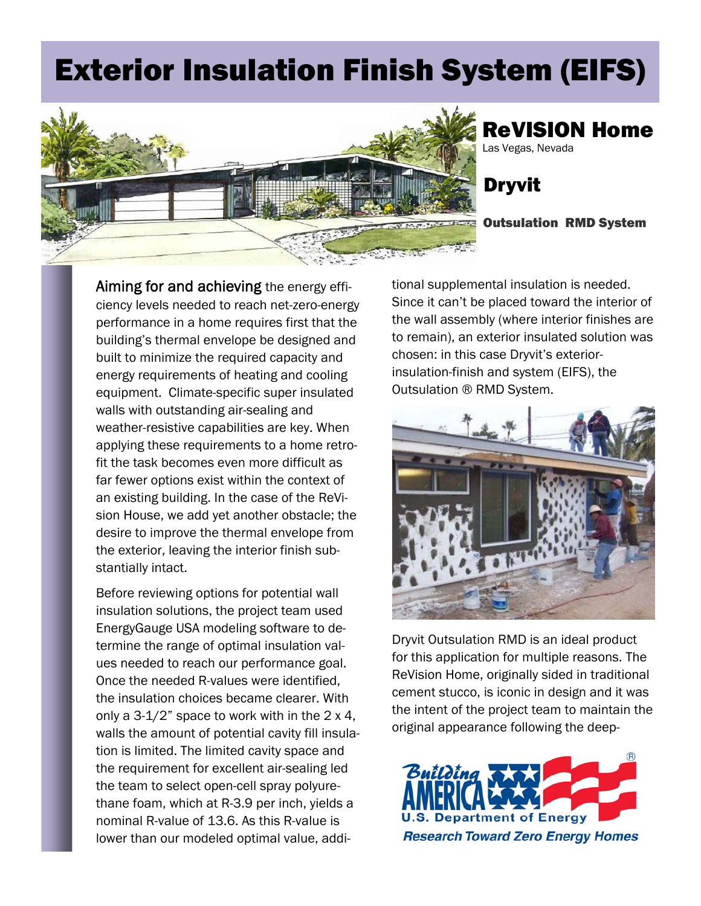## Exterior Insulation Finish System (EIFS)



## ReVISION Home Las Vegas, Nevada

Dryvit

## Outsulation RMD System

Aiming for and achieving the energy effi-<br>tional supplemental insulation is needed. ciency levels needed to reach net-zero-energy Since it can't be placed toward the interior of performance in a home requires first that the the wall assembly (where interior finishes are building's thermal envelope be designed and to remain), an exterior insulated solution was built to minimize the required capacity and chosen: in this case Dryvit's exteriorenergy requirements of heating and cooling insulation-finish and system (EIFS), the equipment. Climate-specific super insulated Outsulation ® RMD System. walls with outstanding air-sealing and weather-resistive capabilities are key. When applying these requirements to a home retrofit the task becomes even more difficult as far fewer options exist within the context of an existing building. In the case of the ReVision House, we add yet another obstacle; the desire to improve the thermal envelope from the exterior, leaving the interior finish substantially intact.

Before reviewing options for potential wall insulation solutions, the project team used EnergyGauge USA modeling software to determine the range of optimal insulation values needed to reach our performance goal. Once the needed R-values were identified, the insulation choices became clearer. With only a  $3-1/2$ " space to work with in the  $2 \times 4$ , walls the amount of potential cavity fill insulation is limited. The limited cavity space and the requirement for excellent air-sealing led the team to select open-cell spray polyurethane foam, which at R-3.9 per inch, yields a nominal R-value of 13.6. As this R-value is lower than our modeled optimal value, addi-



Dryvit Outsulation RMD is an ideal product for this application for multiple reasons. The ReVision Home, originally sided in traditional cement stucco, is iconic in design and it was the intent of the project team to maintain the original appearance following the deep-